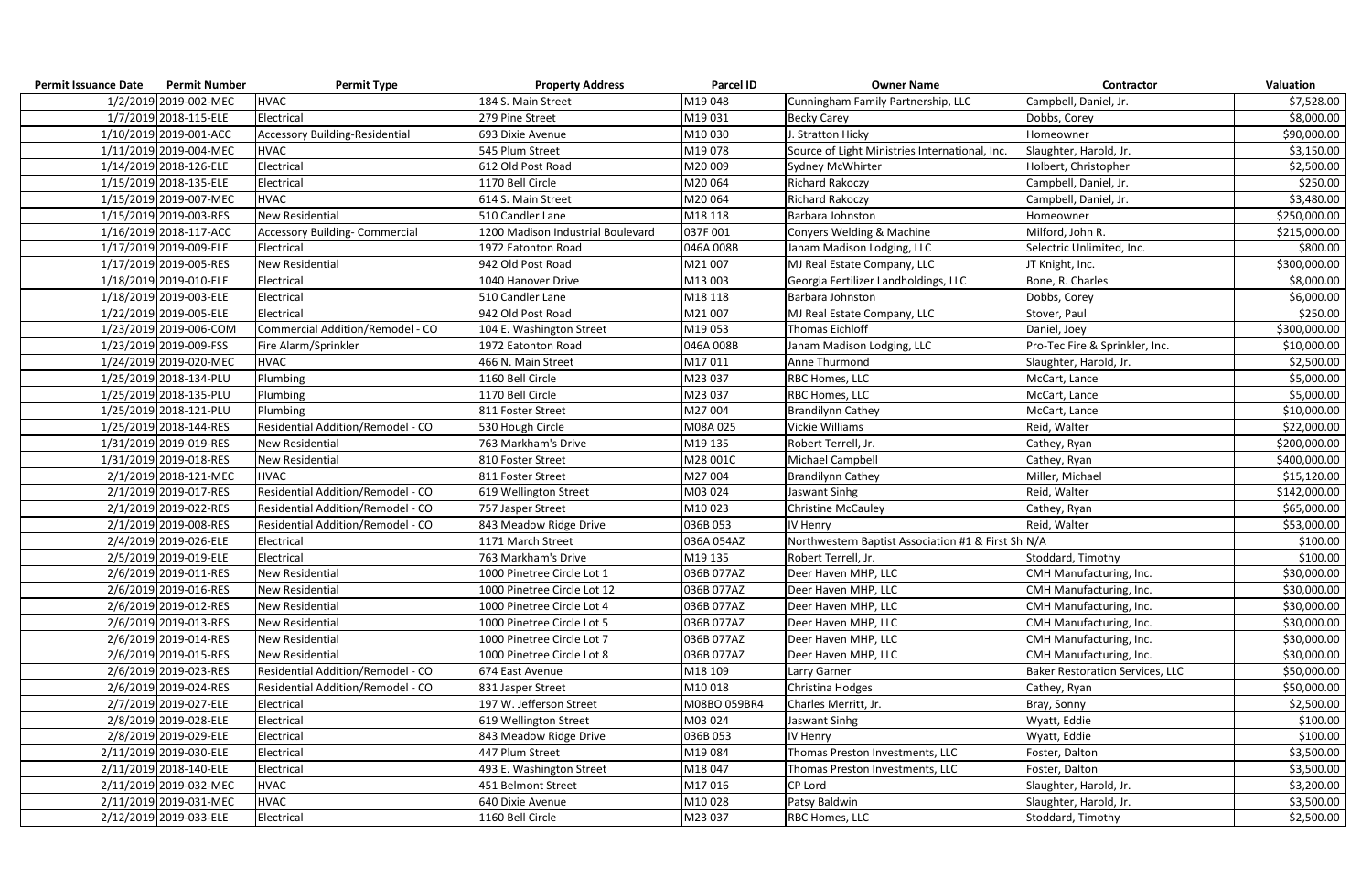| <b>Permit Issuance Date</b> | <b>Permit Number</b>   | <b>Permit Type</b>                    | <b>Property Address</b>           | <b>Parcel ID</b> | <b>Owner Name</b>                                  | Contractor                             | <b>Valuation</b> |
|-----------------------------|------------------------|---------------------------------------|-----------------------------------|------------------|----------------------------------------------------|----------------------------------------|------------------|
|                             | 1/2/2019 2019-002-MEC  | <b>HVAC</b>                           | 184 S. Main Street                | M19048           | Cunningham Family Partnership, LLC                 | Campbell, Daniel, Jr.                  | \$7,528.00       |
|                             | 1/7/2019 2018-115-ELE  | Electrical                            | 279 Pine Street                   | M19031           | <b>Becky Carey</b>                                 | Dobbs, Corey                           | \$8,000.00       |
|                             | 1/10/2019 2019-001-ACC | <b>Accessory Building-Residential</b> | 693 Dixie Avenue                  | M10030           | J. Stratton Hicky                                  | Homeowner                              | \$90,000.00      |
|                             | 1/11/2019 2019-004-MEC | <b>HVAC</b>                           | 545 Plum Street                   | M19078           | Source of Light Ministries International, Inc.     | Slaughter, Harold, Jr.                 | \$3,150.00       |
|                             | 1/14/2019 2018-126-ELE | Electrical                            | 612 Old Post Road                 | M20009           | Sydney McWhirter                                   | Holbert, Christopher                   | \$2,500.00       |
|                             | 1/15/2019 2018-135-ELE | Electrical                            | 1170 Bell Circle                  | M20064           | <b>Richard Rakoczy</b>                             | Campbell, Daniel, Jr.                  | \$250.00         |
|                             | 1/15/2019 2019-007-MEC | <b>HVAC</b>                           | 614 S. Main Street                | M20064           | Richard Rakoczy                                    | Campbell, Daniel, Jr.                  | \$3,480.00       |
|                             | 1/15/2019 2019-003-RES | <b>New Residential</b>                | 510 Candler Lane                  | M18 118          | Barbara Johnston                                   | Homeowner                              | \$250,000.00     |
|                             | 1/16/2019 2018-117-ACC | <b>Accessory Building- Commercial</b> | 1200 Madison Industrial Boulevard | 037F001          | Conyers Welding & Machine                          | Milford, John R.                       | \$215,000.00     |
|                             | 1/17/2019 2019-009-ELE | Electrical                            | 1972 Eatonton Road                | 046A 008B        | Janam Madison Lodging, LLC                         | Selectric Unlimited, Inc.              | \$800.00         |
|                             | 1/17/2019 2019-005-RES | <b>New Residential</b>                | 942 Old Post Road                 | M21007           | MJ Real Estate Company, LLC                        | JT Knight, Inc.                        | \$300,000.00     |
|                             | 1/18/2019 2019-010-ELE | Electrical                            | 1040 Hanover Drive                | M13 003          | Georgia Fertilizer Landholdings, LLC               | Bone, R. Charles                       | \$8,000.00       |
|                             | 1/18/2019 2019-003-ELE | Electrical                            | 510 Candler Lane                  | M18 118          | Barbara Johnston                                   | Dobbs, Corey                           | \$6,000.00       |
|                             | 1/22/2019 2019-005-ELE | Electrical                            | 942 Old Post Road                 | M21007           | MJ Real Estate Company, LLC                        | Stover, Paul                           | \$250.00         |
|                             | 1/23/2019 2019-006-COM | Commercial Addition/Remodel - CO      | 104 E. Washington Street          | M19053           | Thomas Eichloff                                    | Daniel, Joey                           | \$300,000.00     |
|                             | 1/23/2019 2019-009-FSS | Fire Alarm/Sprinkler                  | 1972 Eatonton Road                | 046A 008B        | Janam Madison Lodging, LLC                         | Pro-Tec Fire & Sprinkler, Inc.         | \$10,000.00      |
|                             | 1/24/2019 2019-020-MEC | <b>HVAC</b>                           | 466 N. Main Street                | M17011           | Anne Thurmond                                      | Slaughter, Harold, Jr.                 | \$2,500.00       |
|                             | 1/25/2019 2018-134-PLU | Plumbing                              | 1160 Bell Circle                  | M23 037          | RBC Homes, LLC                                     | McCart, Lance                          | \$5,000.00       |
|                             | 1/25/2019 2018-135-PLU | Plumbing                              | 1170 Bell Circle                  | M23 037          | RBC Homes, LLC                                     | McCart, Lance                          | \$5,000.00       |
|                             | 1/25/2019 2018-121-PLU | Plumbing                              | 811 Foster Street                 | M27004           | <b>Brandilynn Cathey</b>                           | McCart, Lance                          | \$10,000.00      |
|                             | 1/25/2019 2018-144-RES | Residential Addition/Remodel - CO     | 530 Hough Circle                  | M08A025          | Vickie Williams                                    | Reid, Walter                           | \$22,000.00      |
|                             | 1/31/2019 2019-019-RES | <b>New Residential</b>                | 763 Markham's Drive               | M19 135          | Robert Terrell, Jr.                                | Cathey, Ryan                           | \$200,000.00     |
|                             | 1/31/2019 2019-018-RES | <b>New Residential</b>                | 810 Foster Street                 | M28 001C         | Michael Campbell                                   | Cathey, Ryan                           | \$400,000.00     |
|                             | 2/1/2019 2018-121-MEC  | <b>HVAC</b>                           | 811 Foster Street                 | M27004           | <b>Brandilynn Cathey</b>                           | Miller, Michael                        | \$15,120.00      |
|                             | 2/1/2019 2019-017-RES  | Residential Addition/Remodel - CO     | 619 Wellington Street             | M03 024          | Jaswant Sinhg                                      | Reid, Walter                           | \$142,000.00     |
|                             | 2/1/2019 2019-022-RES  | Residential Addition/Remodel - CO     | 757 Jasper Street                 | M10023           | <b>Christine McCauley</b>                          | Cathey, Ryan                           | \$65,000.00      |
|                             | 2/1/2019 2019-008-RES  | Residential Addition/Remodel - CO     | 843 Meadow Ridge Drive            | 036B 053         | IV Henry                                           | Reid, Walter                           | \$53,000.00      |
|                             | 2/4/2019 2019-026-ELE  | Electrical                            | 1171 March Street                 | 036A 054AZ       | Northwestern Baptist Association #1 & First Sh N/A |                                        | \$100.00         |
|                             | 2/5/2019 2019-019-ELE  | Electrical                            | 763 Markham's Drive               | M19 135          | Robert Terrell, Jr.                                | Stoddard, Timothy                      | \$100.00         |
|                             | 2/6/2019 2019-011-RES  | <b>New Residential</b>                | 1000 Pinetree Circle Lot 1        | 036B 077AZ       | Deer Haven MHP, LLC                                | CMH Manufacturing, Inc.                | \$30,000.00      |
|                             | 2/6/2019 2019-016-RES  | New Residential                       | 1000 Pinetree Circle Lot 12       | 036B 077AZ       | Deer Haven MHP, LLC                                | CMH Manufacturing, Inc.                | \$30,000.00      |
|                             | 2/6/2019 2019-012-RES  | <b>New Residential</b>                | 1000 Pinetree Circle Lot 4        | 036B 077AZ       | Deer Haven MHP, LLC                                | CMH Manufacturing, Inc.                | \$30,000.00      |
|                             | 2/6/2019 2019-013-RES  | New Residential                       | 1000 Pinetree Circle Lot 5        | 036B 077AZ       | Deer Haven MHP, LLC                                | CMH Manufacturing, Inc.                | \$30,000.00      |
|                             | 2/6/2019 2019-014-RES  | New Residential                       | 1000 Pinetree Circle Lot 7        | 036B 077AZ       | Deer Haven MHP, LLC                                | CMH Manufacturing, Inc.                | \$30,000.00      |
|                             | 2/6/2019 2019-015-RES  | <b>New Residential</b>                | 1000 Pinetree Circle Lot 8        | 036B 077AZ       | Deer Haven MHP, LLC                                | CMH Manufacturing, Inc.                | \$30,000.00      |
|                             | 2/6/2019 2019-023-RES  | Residential Addition/Remodel - CO     | 674 East Avenue                   | M18 109          | Larry Garner                                       | <b>Baker Restoration Services, LLC</b> | \$50,000.00      |
|                             | 2/6/2019 2019-024-RES  | Residential Addition/Remodel - CO     | 831 Jasper Street                 | M10018           | Christina Hodges                                   | Cathey, Ryan                           | \$50,000.00      |
|                             | 2/7/2019 2019-027-ELE  | Electrical                            | 197 W. Jefferson Street           | M08BO 059BR4     | Charles Merritt, Jr.                               | Bray, Sonny                            | \$2,500.00       |
|                             | 2/8/2019 2019-028-ELE  | Electrical                            | 619 Wellington Street             | M03 024          | Jaswant Sinhg                                      | Wyatt, Eddie                           | \$100.00         |
|                             | 2/8/2019 2019-029-ELE  | Electrical                            | 843 Meadow Ridge Drive            | 036B 053         | IV Henry                                           | Wyatt, Eddie                           | \$100.00         |
|                             | 2/11/2019 2019-030-ELE | Electrical                            | 447 Plum Street                   | M19084           | Thomas Preston Investments, LLC                    | Foster, Dalton                         | \$3,500.00       |
|                             | 2/11/2019 2018-140-ELE | Electrical                            | 493 E. Washington Street          | M18047           | Thomas Preston Investments, LLC                    | Foster, Dalton                         | \$3,500.00       |
|                             | 2/11/2019 2019-032-MEC | <b>HVAC</b>                           | 451 Belmont Street                | M17016           | CP Lord                                            | Slaughter, Harold, Jr.                 | \$3,200.00       |
|                             | 2/11/2019 2019-031-MEC | <b>HVAC</b>                           | 640 Dixie Avenue                  | M10028           | Patsy Baldwin                                      | Slaughter, Harold, Jr.                 | \$3,500.00       |
|                             | 2/12/2019 2019-033-ELE | Electrical                            | 1160 Bell Circle                  | M23 037          | RBC Homes, LLC                                     | Stoddard, Timothy                      | \$2,500.00       |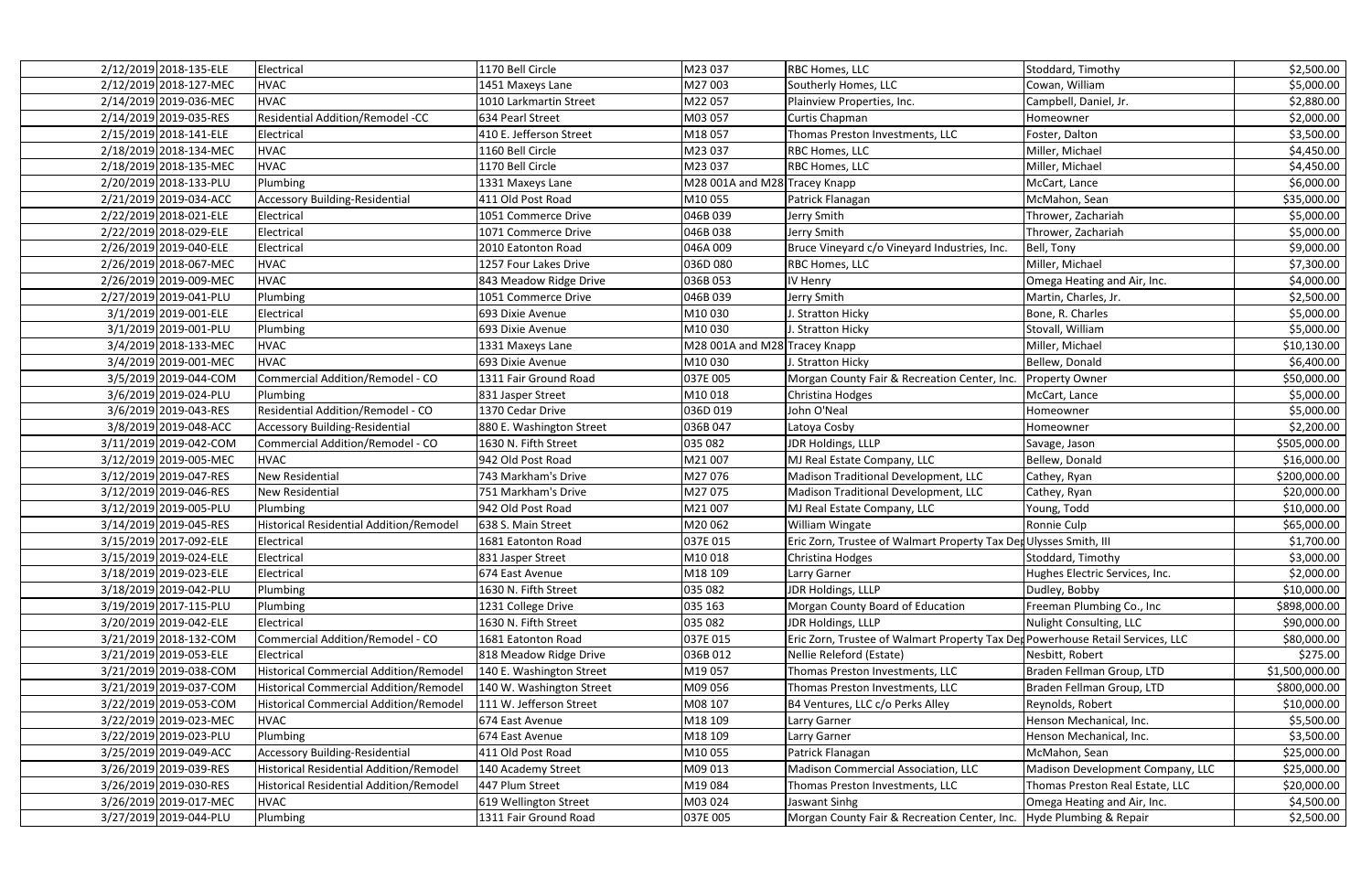| 2/12/2019 2018-135-ELE | Electrical                                     | 1170 Bell Circle         | M23 037                       | <b>RBC Homes, LLC</b>                                                          | Stoddard, Timothy                | \$2,500.00     |
|------------------------|------------------------------------------------|--------------------------|-------------------------------|--------------------------------------------------------------------------------|----------------------------------|----------------|
| 2/12/2019 2018-127-MEC | <b>HVAC</b>                                    | 1451 Maxeys Lane         | M27003                        | Southerly Homes, LLC                                                           | Cowan, William                   | \$5,000.00     |
| 2/14/2019 2019-036-MEC | <b>HVAC</b>                                    | 1010 Larkmartin Street   | M22057                        | Plainview Properties, Inc.                                                     | Campbell, Daniel, Jr.            | \$2,880.00     |
| 2/14/2019 2019-035-RES | <b>Residential Addition/Remodel -CC</b>        | 634 Pearl Street         | M03 057                       | Curtis Chapman                                                                 | Homeowner                        | \$2,000.00     |
| 2/15/2019 2018-141-ELE | Electrical                                     | 410 E. Jefferson Street  | M18057                        | Thomas Preston Investments, LLC                                                | Foster, Dalton                   | \$3,500.00     |
| 2/18/2019 2018-134-MEC | <b>HVAC</b>                                    | 1160 Bell Circle         | M23 037                       | RBC Homes, LLC                                                                 | Miller, Michael                  | \$4,450.00     |
| 2/18/2019 2018-135-MEC | <b>HVAC</b>                                    | 1170 Bell Circle         | M23 037                       | <b>RBC Homes, LLC</b>                                                          | Miller, Michael                  | \$4,450.00     |
| 2/20/2019 2018-133-PLU | Plumbing                                       | 1331 Maxeys Lane         | M28 001A and M28 Tracey Knapp |                                                                                | McCart, Lance                    | \$6,000.00     |
| 2/21/2019 2019-034-ACC | <b>Accessory Building-Residential</b>          | 411 Old Post Road        | M10055                        | Patrick Flanagan                                                               | McMahon, Sean                    | \$35,000.00    |
| 2/22/2019 2018-021-ELE | Electrical                                     | 1051 Commerce Drive      | 046B 039                      | Jerry Smith                                                                    | Thrower, Zachariah               | \$5,000.00     |
| 2/22/2019 2018-029-ELE | Electrical                                     | 1071 Commerce Drive      | 046B038                       | Jerry Smith                                                                    | Thrower, Zachariah               | \$5,000.00     |
| 2/26/2019 2019-040-ELE | Electrical                                     | 2010 Eatonton Road       | 046A 009                      | Bruce Vineyard c/o Vineyard Industries, Inc.                                   | Bell, Tony                       | \$9,000.00     |
| 2/26/2019 2018-067-MEC | <b>HVAC</b>                                    | 1257 Four Lakes Drive    | 036D080                       | RBC Homes, LLC                                                                 | Miller, Michael                  | \$7,300.00     |
| 2/26/2019 2019-009-MEC | <b>HVAC</b>                                    | 843 Meadow Ridge Drive   | 036B 053                      | IV Henry                                                                       | Omega Heating and Air, Inc.      | \$4,000.00     |
| 2/27/2019 2019-041-PLU | Plumbing                                       | 1051 Commerce Drive      | 046B 039                      | Jerry Smith                                                                    | Martin, Charles, Jr.             | \$2,500.00     |
| 3/1/2019 2019-001-ELE  | Electrical                                     | 693 Dixie Avenue         | M10030                        | J. Stratton Hicky                                                              | Bone, R. Charles                 | \$5,000.00     |
| 3/1/2019 2019-001-PLU  | Plumbing                                       | 693 Dixie Avenue         | M10030                        | J. Stratton Hicky                                                              | Stovall, William                 | \$5,000.00     |
| 3/4/2019 2018-133-MEC  | <b>HVAC</b>                                    | 1331 Maxeys Lane         | M28 001A and M28 Tracey Knapp |                                                                                | Miller, Michael                  | \$10,130.00    |
| 3/4/2019 2019-001-MEC  | <b>HVAC</b>                                    | 693 Dixie Avenue         | M10030                        | J. Stratton Hicky                                                              | Bellew, Donald                   | \$6,400.00     |
| 3/5/2019 2019-044-COM  | Commercial Addition/Remodel - CO               | 1311 Fair Ground Road    | 037E 005                      | Morgan County Fair & Recreation Center, Inc.                                   | <b>Property Owner</b>            | \$50,000.00    |
| 3/6/2019 2019-024-PLU  | Plumbing                                       | 831 Jasper Street        | M10018                        | Christina Hodges                                                               | McCart, Lance                    | \$5,000.00     |
| 3/6/2019 2019-043-RES  | Residential Addition/Remodel - CO              | 1370 Cedar Drive         | 036D 019                      | John O'Neal                                                                    | Homeowner                        | \$5,000.00     |
| 3/8/2019 2019-048-ACC  | <b>Accessory Building-Residential</b>          | 880 E. Washington Street | 036B 047                      | Latoya Cosby                                                                   | Homeowner                        | \$2,200.00     |
| 3/11/2019 2019-042-COM | Commercial Addition/Remodel - CO               | 1630 N. Fifth Street     | 035 082                       | JDR Holdings, LLLP                                                             | Savage, Jason                    | \$505,000.00   |
| 3/12/2019 2019-005-MEC | <b>HVAC</b>                                    | 942 Old Post Road        | M21007                        | MJ Real Estate Company, LLC                                                    | Bellew, Donald                   | \$16,000.00    |
| 3/12/2019 2019-047-RES | <b>New Residential</b>                         | 743 Markham's Drive      | M27076                        | Madison Traditional Development, LLC                                           | Cathey, Ryan                     | \$200,000.00   |
| 3/12/2019 2019-046-RES | New Residential                                | 751 Markham's Drive      | M27075                        | Madison Traditional Development, LLC                                           | Cathey, Ryan                     | \$20,000.00    |
| 3/12/2019 2019-005-PLU | Plumbing                                       | 942 Old Post Road        | M21007                        | MJ Real Estate Company, LLC                                                    | Young, Todd                      | \$10,000.00    |
| 3/14/2019 2019-045-RES | <b>Historical Residential Addition/Remodel</b> | 638 S. Main Street       | M20 062                       | William Wingate                                                                | Ronnie Culp                      | \$65,000.00    |
| 3/15/2019 2017-092-ELE | Electrical                                     | 1681 Eatonton Road       | 037E 015                      | Eric Zorn, Trustee of Walmart Property Tax Der Ulysses Smith, III              |                                  | \$1,700.00     |
| 3/15/2019 2019-024-ELE | Electrical                                     | 831 Jasper Street        | M10018                        | Christina Hodges                                                               | Stoddard, Timothy                | \$3,000.00     |
| 3/18/2019 2019-023-ELE | Electrical                                     | 674 East Avenue          | M18 109                       | Larry Garner                                                                   | Hughes Electric Services, Inc.   | \$2,000.00     |
| 3/18/2019 2019-042-PLU | Plumbing                                       | 1630 N. Fifth Street     | 035 082                       | JDR Holdings, LLLP                                                             | Dudley, Bobby                    | \$10,000.00    |
| 3/19/2019 2017-115-PLU | Plumbing                                       | 1231 College Drive       | 035 163                       | Morgan County Board of Education                                               | Freeman Plumbing Co., Inc        | \$898,000.00   |
| 3/20/2019 2019-042-ELE | Electrical                                     | 1630 N. Fifth Street     | 035 082                       | JDR Holdings, LLLP                                                             | Nulight Consulting, LLC          | \$90,000.00    |
| 3/21/2019 2018-132-COM | Commercial Addition/Remodel - CO               | 1681 Eatonton Road       | 037E 015                      | Eric Zorn, Trustee of Walmart Property Tax Ded Powerhouse Retail Services, LLC |                                  | \$80,000.00    |
| 3/21/2019 2019-053-ELE | Electrical                                     | 818 Meadow Ridge Drive   | 036B 012                      | Nellie Releford (Estate)                                                       | Nesbitt, Robert                  | \$275.00       |
| 3/21/2019 2019-038-COM | <b>Historical Commercial Addition/Remodel</b>  | 140 E. Washington Street | M19057                        | Thomas Preston Investments, LLC                                                | Braden Fellman Group, LTD        | \$1,500,000.00 |
| 3/21/2019 2019-037-COM | <b>Historical Commercial Addition/Remodel</b>  | 140 W. Washington Street | M09 056                       | Thomas Preston Investments, LLC                                                | Braden Fellman Group, LTD        | \$800,000.00   |
| 3/22/2019 2019-053-COM | <b>Historical Commercial Addition/Remodel</b>  | 111 W. Jefferson Street  | M08 107                       | B4 Ventures, LLC c/o Perks Alley                                               | Reynolds, Robert                 | \$10,000.00    |
| 3/22/2019 2019-023-MEC | <b>HVAC</b>                                    | 674 East Avenue          | M18 109                       | Larry Garner                                                                   | Henson Mechanical, Inc.          | \$5,500.00     |
| 3/22/2019 2019-023-PLU | Plumbing                                       | 674 East Avenue          | M18 109                       | Larry Garner                                                                   | Henson Mechanical, Inc.          | \$3,500.00     |
| 3/25/2019 2019-049-ACC | <b>Accessory Building-Residential</b>          | 411 Old Post Road        | M10055                        | Patrick Flanagan                                                               | McMahon, Sean                    | \$25,000.00    |
| 3/26/2019 2019-039-RES | <b>Historical Residential Addition/Remodel</b> | 140 Academy Street       | M09 013                       | Madison Commercial Association, LLC                                            | Madison Development Company, LLC | \$25,000.00    |
| 3/26/2019 2019-030-RES | Historical Residential Addition/Remodel        | 447 Plum Street          | M19084                        | Thomas Preston Investments, LLC                                                | Thomas Preston Real Estate, LLC  | \$20,000.00    |
| 3/26/2019 2019-017-MEC | <b>HVAC</b>                                    | 619 Wellington Street    | M03 024                       | Jaswant Sinhg                                                                  | Omega Heating and Air, Inc.      | \$4,500.00     |
| 3/27/2019 2019-044-PLU | Plumbing                                       | 1311 Fair Ground Road    | 037E 005                      | Morgan County Fair & Recreation Center, Inc.                                   | Hyde Plumbing & Repair           | \$2,500.00     |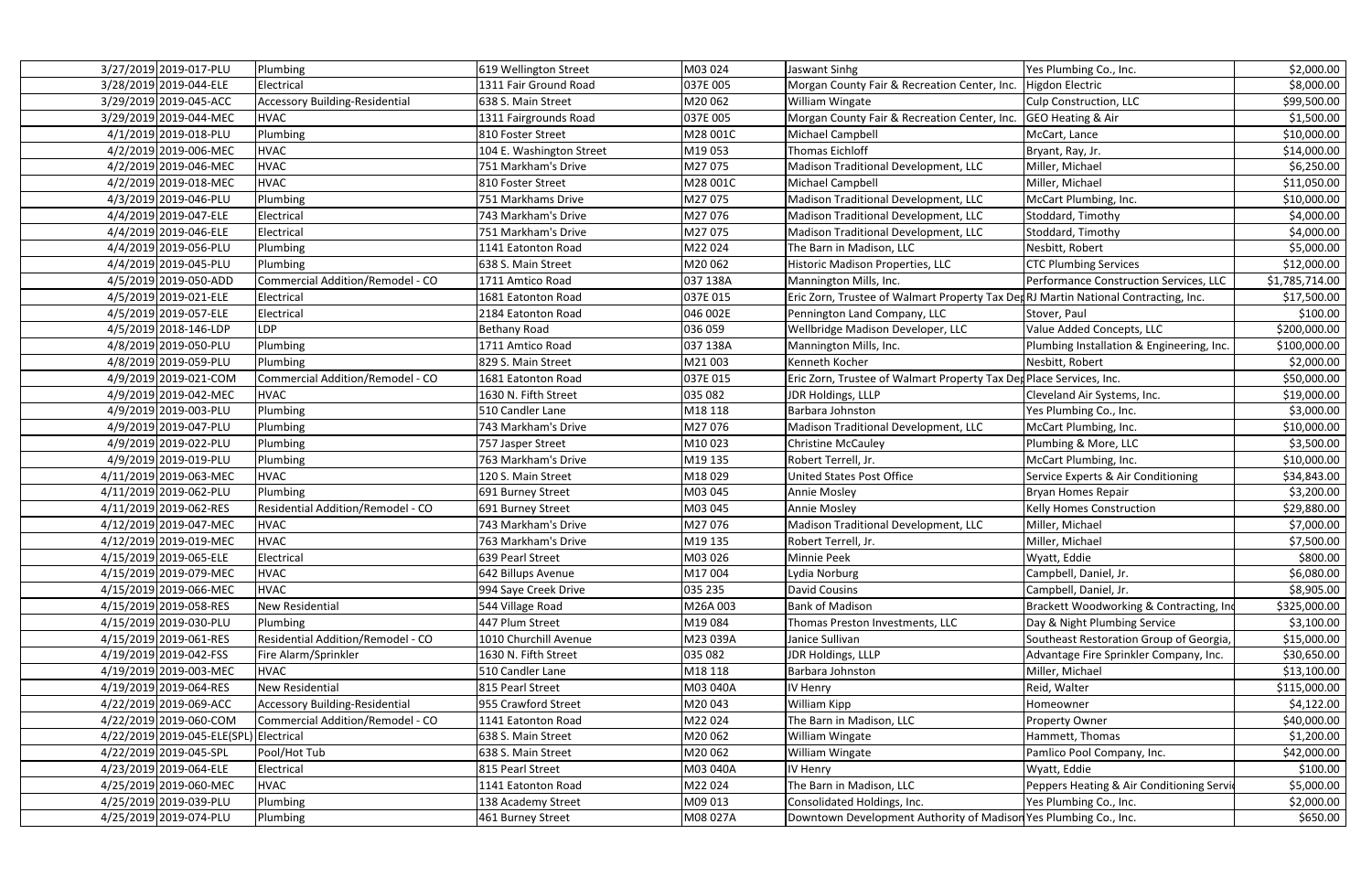| 3/27/2019 2019-017-PLU     | Plumbing                                 | 619 Wellington Street    | M03 024  | Jaswant Sinhg                                                                      | Yes Plumbing Co., Inc.                    | \$2,000.00     |
|----------------------------|------------------------------------------|--------------------------|----------|------------------------------------------------------------------------------------|-------------------------------------------|----------------|
| 3/28/2019 2019-044-ELE     | Electrical                               | 1311 Fair Ground Road    | 037E 005 | Morgan County Fair & Recreation Center, Inc.                                       | Higdon Electric                           | \$8,000.00     |
| 3/29/2019 2019-045-ACC     | <b>Accessory Building-Residential</b>    | 638 S. Main Street       | M20062   | <b>William Wingate</b>                                                             | <b>Culp Construction, LLC</b>             | \$99,500.00    |
| 3/29/2019 2019-044-MEC     | <b>HVAC</b>                              | 1311 Fairgrounds Road    | 037E 005 | Morgan County Fair & Recreation Center, Inc.                                       | <b>GEO Heating &amp; Air</b>              | \$1,500.00     |
| 4/1/2019 2019-018-PLU      | Plumbing                                 | 810 Foster Street        | M28 001C | Michael Campbell                                                                   | McCart, Lance                             | \$10,000.00    |
| 4/2/2019 2019-006-MEC      | <b>HVAC</b>                              | 104 E. Washington Street | M19053   | <b>Thomas Eichloff</b>                                                             | Bryant, Ray, Jr.                          | \$14,000.00    |
| 4/2/2019 2019-046-MEC      | <b>HVAC</b>                              | 751 Markham's Drive      | M27075   | Madison Traditional Development, LLC                                               | Miller, Michael                           | \$6,250.00     |
| 4/2/2019 2019-018-MEC      | <b>HVAC</b>                              | 810 Foster Street        | M28 001C | Michael Campbell                                                                   | Miller, Michael                           | \$11,050.00    |
| 4/3/2019 2019-046-PLU      | Plumbing                                 | 751 Markhams Drive       | M27075   | Madison Traditional Development, LLC                                               | McCart Plumbing, Inc.                     | \$10,000.00    |
| 4/4/2019 2019-047-ELE      | Electrical                               | 743 Markham's Drive      | M27076   | Madison Traditional Development, LLC                                               | Stoddard, Timothy                         | \$4,000.00     |
| 4/4/2019 2019-046-ELE      | Electrical                               | 751 Markham's Drive      | M27075   | Madison Traditional Development, LLC                                               | Stoddard, Timothy                         | \$4,000.00     |
| 4/4/2019 2019-056-PLU      | Plumbing                                 | 1141 Eatonton Road       | M22024   | The Barn in Madison, LLC                                                           | Nesbitt, Robert                           | \$5,000.00     |
| 4/4/2019 2019-045-PLU      | Plumbing                                 | 638 S. Main Street       | M20062   | Historic Madison Properties, LLC                                                   | <b>CTC Plumbing Services</b>              | \$12,000.00    |
| 4/5/2019 2019-050-ADD      | Commercial Addition/Remodel - CO         | 1711 Amtico Road         | 037 138A | Mannington Mills, Inc.                                                             | Performance Construction Services, LLC    | \$1,785,714.00 |
| 4/5/2019 2019-021-ELE      | Electrical                               | 1681 Eatonton Road       | 037E 015 | Eric Zorn, Trustee of Walmart Property Tax DedRJ Martin National Contracting, Inc. |                                           | \$17,500.00    |
| 4/5/2019 2019-057-ELE      | Electrical                               | 2184 Eatonton Road       | 046 002E | Pennington Land Company, LLC                                                       | Stover, Paul                              | \$100.00       |
| 4/5/2019 2018-146-LDP      | <b>DP</b>                                | <b>Bethany Road</b>      | 036 059  | Wellbridge Madison Developer, LLC                                                  | Value Added Concepts, LLC                 | \$200,000.00   |
| 4/8/2019 2019-050-PLU      | Plumbing                                 | 1711 Amtico Road         | 037 138A | Mannington Mills, Inc.                                                             | Plumbing Installation & Engineering, Inc. | \$100,000.00   |
| 4/8/2019 2019-059-PLU      | Plumbing                                 | 829 S. Main Street       | M21003   | Kenneth Kocher                                                                     | Nesbitt, Robert                           | \$2,000.00     |
| 4/9/2019 2019-021-COM      | Commercial Addition/Remodel - CO         | 1681 Eatonton Road       | 037E 015 | Eric Zorn, Trustee of Walmart Property Tax Dep Place Services, Inc.                |                                           | \$50,000.00    |
| 4/9/2019 2019-042-MEC      | <b>HVAC</b>                              | 1630 N. Fifth Street     | 035 082  | JDR Holdings, LLLP                                                                 | Cleveland Air Systems, Inc.               | \$19,000.00    |
| 4/9/2019 2019-003-PLU      | Plumbing                                 | 510 Candler Lane         | M18 118  | Barbara Johnston                                                                   | Yes Plumbing Co., Inc.                    | \$3,000.00     |
| 4/9/2019 2019-047-PLU      | Plumbing                                 | 743 Markham's Drive      | M27076   | Madison Traditional Development, LLC                                               | McCart Plumbing, Inc.                     | \$10,000.00    |
| 4/9/2019 2019-022-PLU      | Plumbing                                 | 757 Jasper Street        | M10023   | <b>Christine McCauley</b>                                                          | Plumbing & More, LLC                      | \$3,500.00     |
| 4/9/2019 2019-019-PLU      | Plumbing                                 | 763 Markham's Drive      | M19 135  | Robert Terrell, Jr.                                                                | McCart Plumbing, Inc.                     | \$10,000.00    |
| 4/11/2019 2019-063-MEC     | <b>HVAC</b>                              | 120 S. Main Street       | M18029   | <b>United States Post Office</b>                                                   | Service Experts & Air Conditioning        | \$34,843.00    |
| 4/11/2019 2019-062-PLU     | Plumbing                                 | 691 Burney Street        | M03 045  | Annie Mosley                                                                       | Bryan Homes Repair                        | \$3,200.00     |
| 4/11/2019 2019-062-RES     | Residential Addition/Remodel - CO        | 691 Burney Street        | M03 045  | Annie Mosley                                                                       | Kelly Homes Construction                  | \$29,880.00    |
| 4/12/2019 2019-047-MEC     | <b>HVAC</b>                              | 743 Markham's Drive      | M27076   | Madison Traditional Development, LLC                                               | Miller, Michael                           | \$7,000.00     |
| 4/12/2019 2019-019-MEC     | <b>HVAC</b>                              | 763 Markham's Drive      | M19 135  | Robert Terrell, Jr.                                                                | Miller, Michael                           | \$7,500.00     |
| 4/15/2019 2019-065-ELE     | Electrical                               | 639 Pearl Street         | M03 026  | <b>Minnie Peek</b>                                                                 | Wyatt, Eddie                              | \$800.00       |
| 4/15/2019 2019-079-MEC     | <b>HVAC</b>                              | 642 Billups Avenue       | M17004   | Lydia Norburg                                                                      | Campbell, Daniel, Jr.                     | \$6,080.00     |
| 4/15/2019 2019-066-MEC     | <b>HVAC</b>                              | 994 Saye Creek Drive     | 035 235  | <b>David Cousins</b>                                                               | Campbell, Daniel, Jr.                     | \$8,905.00     |
| 4/15/2019 2019-058-RES     | New Residential                          | 544 Village Road         | M26A003  | <b>Bank of Madison</b>                                                             | Brackett Woodworking & Contracting, Ind   | \$325,000.00   |
| 4/15/2019 2019-030-PLU     | Plumbing                                 | 447 Plum Street          | M19084   | Thomas Preston Investments, LLC                                                    | Day & Night Plumbing Service              | \$3,100.00     |
| 4/15/2019 2019-061-RES     | <b>Residential Addition/Remodel - CO</b> | 1010 Churchill Avenue    | M23 039A | Janice Sullivan                                                                    | Southeast Restoration Group of Georgia,   | \$15,000.00    |
| 4/19/2019 2019-042-FSS     | Fire Alarm/Sprinkler                     | 1630 N. Fifth Street     | 035 082  | JDR Holdings, LLLP                                                                 | Advantage Fire Sprinkler Company, Inc.    | \$30,650.00    |
| 4/19/2019 2019-003-MEC     | <b>HVAC</b>                              | 510 Candler Lane         | M18 118  | Barbara Johnston                                                                   | Miller, Michael                           | \$13,100.00    |
| 4/19/2019 2019-064-RES     | <b>New Residential</b>                   | 815 Pearl Street         | M03 040A | IV Henry                                                                           | Reid, Walter                              | \$115,000.00   |
| 4/22/2019 2019-069-ACC     | <b>Accessory Building-Residential</b>    | 955 Crawford Street      | M20043   | <b>William Kipp</b>                                                                | Homeowner                                 | \$4,122.00     |
| 4/22/2019 2019-060-COM     | Commercial Addition/Remodel - CO         | 1141 Eatonton Road       | M22024   | The Barn in Madison, LLC                                                           | <b>Property Owner</b>                     | \$40,000.00    |
| 4/22/2019 2019-045-ELE(SPL | Electrical                               | 638 S. Main Street       | M20062   | <b>William Wingate</b>                                                             | Hammett, Thomas                           | \$1,200.00     |
| 4/22/2019 2019-045-SPL     | Pool/Hot Tub                             | 638 S. Main Street       | M20062   | William Wingate                                                                    | Pamlico Pool Company, Inc.                | \$42,000.00    |
| 4/23/2019 2019-064-ELE     | Electrical                               | 815 Pearl Street         | M03 040A | IV Henry                                                                           | Wyatt, Eddie                              | \$100.00       |
| 4/25/2019 2019-060-MEC     | <b>HVAC</b>                              | 1141 Eatonton Road       | M22024   | The Barn in Madison, LLC                                                           | Peppers Heating & Air Conditioning Servio | \$5,000.00     |
| 4/25/2019 2019-039-PLU     | <b>Plumbing</b>                          | 138 Academy Street       | M09 013  | Consolidated Holdings, Inc.                                                        | Yes Plumbing Co., Inc.                    | \$2,000.00     |
| 4/25/2019 2019-074-PLU     | Plumbing                                 | 461 Burney Street        | M08 027A | Downtown Development Authority of Madison Yes Plumbing Co., Inc.                   |                                           | \$650.00       |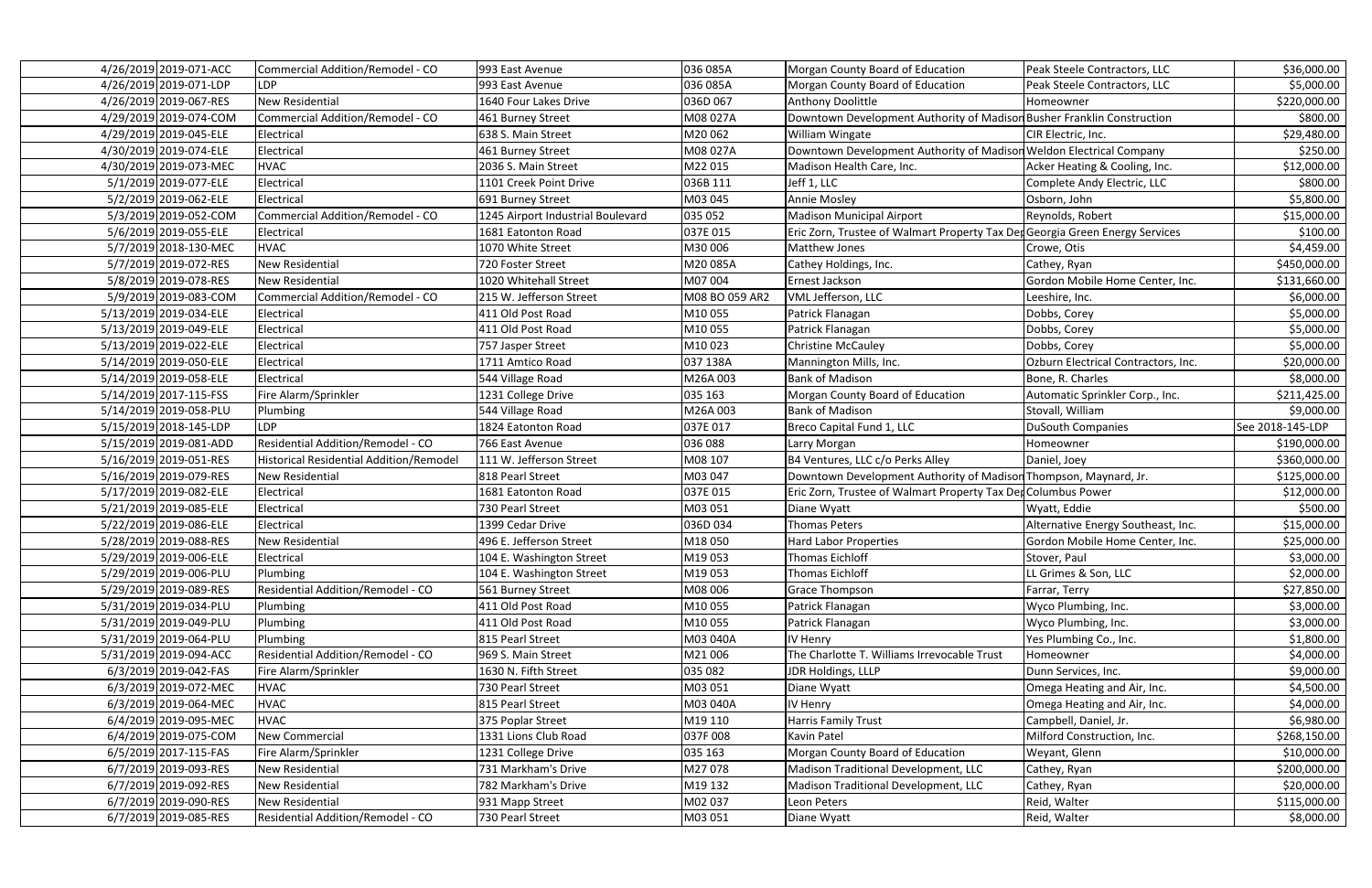| 4/26/2019 2019-071-ACC | Commercial Addition/Remodel - CO        | 993 East Avenue                   | 036 085A       | Morgan County Board of Education                                            | Peak Steele Contractors, LLC        | \$36,000.00      |
|------------------------|-----------------------------------------|-----------------------------------|----------------|-----------------------------------------------------------------------------|-------------------------------------|------------------|
| 4/26/2019 2019-071-LDP | <b>LDP</b>                              | 993 East Avenue                   | 036 085A       | Morgan County Board of Education                                            | Peak Steele Contractors, LLC        | \$5,000.00       |
| 4/26/2019 2019-067-RES | New Residential                         | 1640 Four Lakes Drive             | 036D 067       | <b>Anthony Doolittle</b>                                                    | Homeowner                           | \$220,000.00     |
| 4/29/2019 2019-074-COM | Commercial Addition/Remodel - CO        | 461 Burney Street                 | M08 027A       | Downtown Development Authority of Madison Busher Franklin Construction      |                                     | \$800.00         |
| 4/29/2019 2019-045-ELE | Electrical                              | 638 S. Main Street                | M20 062        | <b>William Wingate</b>                                                      | CIR Electric, Inc.                  | \$29,480.00      |
| 4/30/2019 2019-074-ELE | Electrical                              | 461 Burney Street                 | M08 027A       | Downtown Development Authority of Madison Weldon Electrical Company         |                                     | \$250.00         |
| 4/30/2019 2019-073-MEC | <b>HVAC</b>                             | 2036 S. Main Street               | M22015         | Madison Health Care, Inc.                                                   | Acker Heating & Cooling, Inc.       | \$12,000.00      |
| 5/1/2019 2019-077-ELE  | Electrical                              | 1101 Creek Point Drive            | 036B 111       | Jeff 1, LLC                                                                 | Complete Andy Electric, LLC         | \$800.00         |
| 5/2/2019 2019-062-ELE  | Electrical                              | 691 Burney Street                 | M03 045        | <b>Annie Mosley</b>                                                         | Osborn, John                        | \$5,800.00       |
| 5/3/2019 2019-052-COM  | Commercial Addition/Remodel - CO        | 1245 Airport Industrial Boulevard | 035 052        | <b>Madison Municipal Airport</b>                                            | Reynolds, Robert                    | \$15,000.00      |
| 5/6/2019 2019-055-ELE  | Electrical                              | 1681 Eatonton Road                | 037E 015       | Eric Zorn, Trustee of Walmart Property Tax DedGeorgia Green Energy Services |                                     | \$100.00         |
| 5/7/2019 2018-130-MEC  | <b>HVAC</b>                             | 1070 White Street                 | M30 006        | Matthew Jones                                                               | Crowe, Otis                         | \$4,459.00       |
| 5/7/2019 2019-072-RES  | New Residential                         | 720 Foster Street                 | M20 085A       | Cathey Holdings, Inc.                                                       | Cathey, Ryan                        | \$450,000.00     |
| 5/8/2019 2019-078-RES  | New Residential                         | 1020 Whitehall Street             | M07 004        | Ernest Jackson                                                              | Gordon Mobile Home Center, Inc.     | \$131,660.00     |
| 5/9/2019 2019-083-COM  | Commercial Addition/Remodel - CO        | 215 W. Jefferson Street           | M08 BO 059 AR2 | VML Jefferson, LLC                                                          | Leeshire, Inc.                      | \$6,000.00       |
| 5/13/2019 2019-034-ELE | Electrical                              | 411 Old Post Road                 | M10055         | Patrick Flanagan                                                            | Dobbs, Corey                        | \$5,000.00       |
| 5/13/2019 2019-049-ELE | Electrical                              | 411 Old Post Road                 | M10055         | Patrick Flanagan                                                            | Dobbs, Corey                        | \$5,000.00       |
| 5/13/2019 2019-022-ELE | Electrical                              | 757 Jasper Street                 | M10023         | <b>Christine McCauley</b>                                                   | Dobbs, Corey                        | \$5,000.00       |
| 5/14/2019 2019-050-ELE | Electrical                              | 1711 Amtico Road                  | 037 138A       | Mannington Mills, Inc.                                                      | Ozburn Electrical Contractors, Inc. | \$20,000.00      |
| 5/14/2019 2019-058-ELE | Electrical                              | 544 Village Road                  | M26A003        | <b>Bank of Madison</b>                                                      | Bone, R. Charles                    | \$8,000.00       |
| 5/14/2019 2017-115-FSS | Fire Alarm/Sprinkler                    | 1231 College Drive                | 035 163        | Morgan County Board of Education                                            | Automatic Sprinkler Corp., Inc.     | \$211,425.00     |
| 5/14/2019 2019-058-PLU | Plumbing                                | 544 Village Road                  | M26A 003       | <b>Bank of Madison</b>                                                      | Stovall, William                    | \$9,000.00       |
| 5/15/2019 2018-145-LDP | <b>LDP</b>                              | 1824 Eatonton Road                | 037E 017       | Breco Capital Fund 1, LLC                                                   | <b>DuSouth Companies</b>            | See 2018-145-LDP |
| 5/15/2019 2019-081-ADD | Residential Addition/Remodel - CO       | 766 East Avenue                   | 036 088        | Larry Morgan                                                                | Homeowner                           | \$190,000.00     |
| 5/16/2019 2019-051-RES | Historical Residential Addition/Remodel | 111 W. Jefferson Street           | M08 107        | B4 Ventures, LLC c/o Perks Alley                                            | Daniel, Joey                        | \$360,000.00     |
| 5/16/2019 2019-079-RES | New Residential                         | 818 Pearl Street                  | M03 047        | Downtown Development Authority of Madison Thompson, Maynard, Jr.            |                                     | \$125,000.00     |
| 5/17/2019 2019-082-ELE | Electrical                              | 1681 Eatonton Road                | 037E 015       | Eric Zorn, Trustee of Walmart Property Tax Det Columbus Power               |                                     | \$12,000.00      |
| 5/21/2019 2019-085-ELE | Electrical                              | 730 Pearl Street                  | M03 051        | Diane Wyatt                                                                 | Wyatt, Eddie                        | \$500.00         |
| 5/22/2019 2019-086-ELE | Electrical                              | 1399 Cedar Drive                  | 036D 034       | <b>Thomas Peters</b>                                                        | Alternative Energy Southeast, Inc.  | \$15,000.00      |
| 5/28/2019 2019-088-RES | New Residential                         | 496 E. Jefferson Street           | M18050         | <b>Hard Labor Properties</b>                                                | Gordon Mobile Home Center, Inc.     | \$25,000.00      |
| 5/29/2019 2019-006-ELE | Electrical                              | 104 E. Washington Street          | M19053         | Thomas Eichloff                                                             | Stover, Paul                        | \$3,000.00       |
| 5/29/2019 2019-006-PLU | Plumbing                                | 104 E. Washington Street          | M19053         | <b>Thomas Eichloff</b>                                                      | LL Grimes & Son, LLC                | \$2,000.00       |
| 5/29/2019 2019-089-RES | Residential Addition/Remodel - CO       | 561 Burney Street                 | M08 006        | <b>Grace Thompson</b>                                                       | Farrar, Terry                       | \$27,850.00      |
| 5/31/2019 2019-034-PLU | Plumbing                                | 411 Old Post Road                 | M10055         | Patrick Flanagan                                                            | Wyco Plumbing, Inc.                 | \$3,000.00       |
| 5/31/2019 2019-049-PLU | Plumbing                                | 411 Old Post Road                 | M10055         | Patrick Flanagan                                                            | Wyco Plumbing, Inc.                 | \$3,000.00       |
| 5/31/2019 2019-064-PLU | Plumbing                                | 815 Pearl Street                  | M03 040A       | IV Henry                                                                    | Yes Plumbing Co., Inc.              | \$1,800.00       |
| 5/31/2019 2019-094-ACC | Residential Addition/Remodel - CO       | 969 S. Main Street                | M21006         | The Charlotte T. Williams Irrevocable Trust                                 | Homeowner                           | \$4,000.00       |
| 6/3/2019 2019-042-FAS  | Fire Alarm/Sprinkler                    | 1630 N. Fifth Street              | 035 082        | JDR Holdings, LLLP                                                          | Dunn Services, Inc.                 | \$9,000.00       |
| 6/3/2019 2019-072-MEC  | <b>HVAC</b>                             | 730 Pearl Street                  | M03 051        | Diane Wyatt                                                                 | Omega Heating and Air, Inc.         | \$4,500.00       |
| 6/3/2019 2019-064-MEC  | <b>HVAC</b>                             | 815 Pearl Street                  | M03 040A       | IV Henry                                                                    | Omega Heating and Air, Inc.         | \$4,000.00       |
| 6/4/2019 2019-095-MEC  | <b>HVAC</b>                             | 375 Poplar Street                 | M19 110        | <b>Harris Family Trust</b>                                                  | Campbell, Daniel, Jr.               | \$6,980.00       |
| 6/4/2019 2019-075-COM  | New Commercial                          | 1331 Lions Club Road              | 037F 008       | Kavin Patel                                                                 | Milford Construction, Inc.          | \$268,150.00     |
| 6/5/2019 2017-115-FAS  | Fire Alarm/Sprinkler                    | 1231 College Drive                | 035 163        | Morgan County Board of Education                                            | Weyant, Glenn                       | \$10,000.00      |
| 6/7/2019 2019-093-RES  | New Residential                         | 731 Markham's Drive               | M27078         | Madison Traditional Development, LLC                                        | Cathey, Ryan                        | \$200,000.00     |
| 6/7/2019 2019-092-RES  | New Residential                         | 782 Markham's Drive               | M19 132        | Madison Traditional Development, LLC                                        | Cathey, Ryan                        | \$20,000.00      |
| 6/7/2019 2019-090-RES  | New Residential                         | 931 Mapp Street                   | M02 037        | Leon Peters                                                                 | Reid, Walter                        | \$115,000.00     |
| 6/7/2019 2019-085-RES  | Residential Addition/Remodel - CO       | 730 Pearl Street                  | M03 051        | Diane Wyatt                                                                 | Reid, Walter                        | \$8,000.00       |
|                        |                                         |                                   |                |                                                                             |                                     |                  |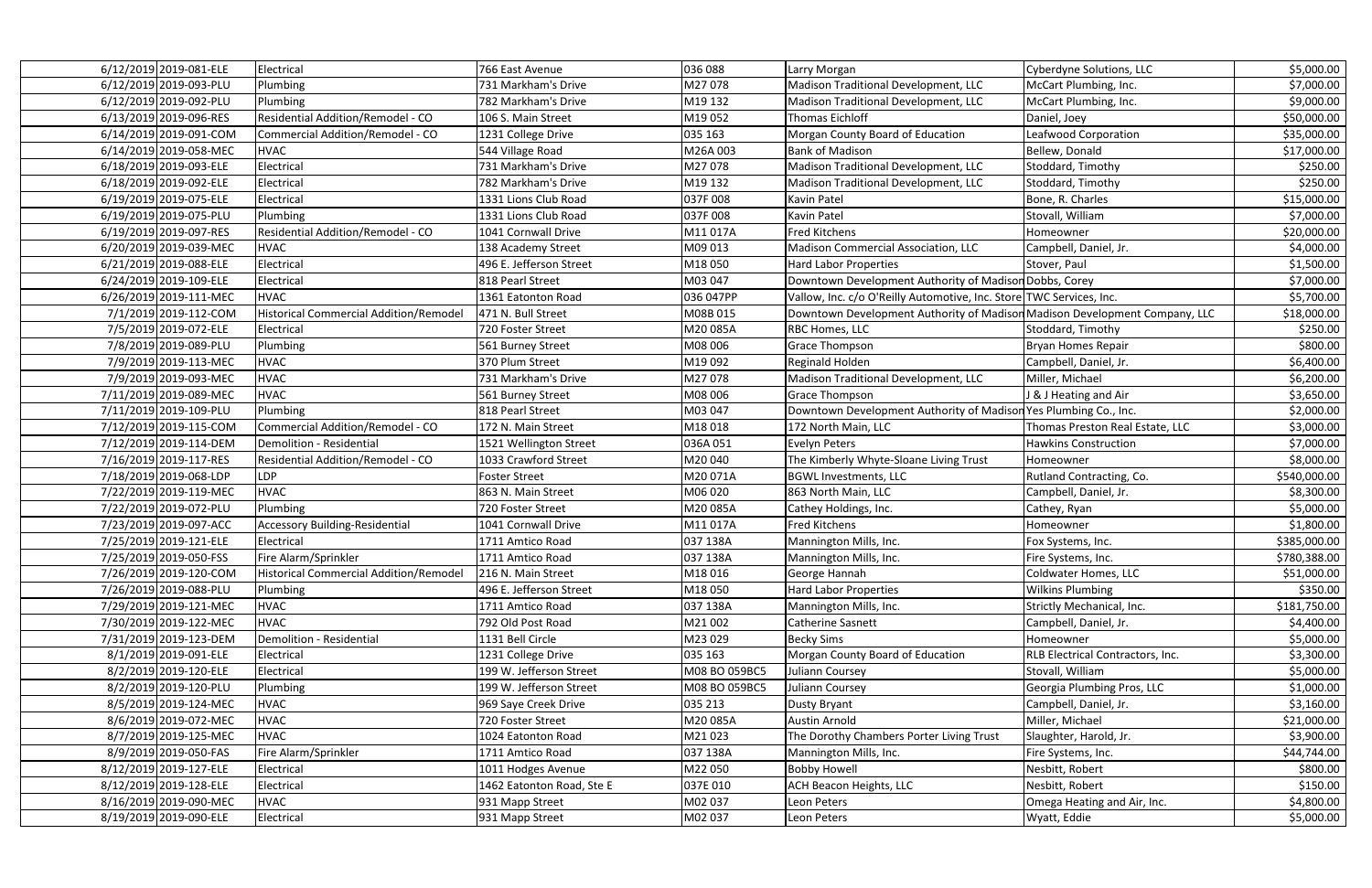| 6/12/2019 2019-081-ELE                         | Electrical                                    | 766 East Avenue                               | 036 088                  | Larry Morgan                                                               | Cyberdyne Solutions, LLC                 | \$5,000.00                |
|------------------------------------------------|-----------------------------------------------|-----------------------------------------------|--------------------------|----------------------------------------------------------------------------|------------------------------------------|---------------------------|
| 6/12/2019 2019-093-PLU                         | Plumbing                                      | 731 Markham's Drive                           | M27078                   | Madison Traditional Development, LLC                                       | McCart Plumbing, Inc.                    | \$7,000.00                |
| 6/12/2019 2019-092-PLU                         | Plumbing                                      | 782 Markham's Drive                           | M19 132                  | Madison Traditional Development, LLC                                       | McCart Plumbing, Inc.                    | \$9,000.00                |
| 6/13/2019 2019-096-RES                         | Residential Addition/Remodel - CO             | 106 S. Main Street                            | M19052                   | <b>Thomas Eichloff</b>                                                     | Daniel, Joey                             | \$50,000.00               |
| 6/14/2019 2019-091-COM                         | Commercial Addition/Remodel - CO              | 1231 College Drive                            | 035 163                  | Morgan County Board of Education                                           | Leafwood Corporation                     | \$35,000.00               |
| 6/14/2019 2019-058-MEC                         | <b>HVAC</b>                                   | 544 Village Road                              | M26A003                  | <b>Bank of Madison</b>                                                     | Bellew, Donald                           | \$17,000.00               |
| 6/18/2019 2019-093-ELE                         | Electrical                                    | 731 Markham's Drive                           | M27078                   | Madison Traditional Development, LLC                                       | Stoddard, Timothy                        | \$250.00                  |
| 6/18/2019 2019-092-ELE                         | Electrical                                    | 782 Markham's Drive                           | M19 132                  | Madison Traditional Development, LLC                                       | Stoddard, Timothy                        | \$250.00                  |
| 6/19/2019 2019-075-ELE                         | Electrical                                    | 1331 Lions Club Road                          | 037F 008                 | Kavin Patel                                                                | Bone, R. Charles                         | \$15,000.00               |
| 6/19/2019 2019-075-PLU                         | Plumbing                                      | 1331 Lions Club Road                          | 037F 008                 | Kavin Patel                                                                | Stovall, William                         | \$7,000.00                |
| 6/19/2019 2019-097-RES                         | Residential Addition/Remodel - CO             | 1041 Cornwall Drive                           | M11017A                  | <b>Fred Kitchens</b>                                                       | Homeowner                                | \$20,000.00               |
| 6/20/2019 2019-039-MEC                         | <b>HVAC</b>                                   | 138 Academy Street                            | M09 013                  | Madison Commercial Association, LLC                                        | Campbell, Daniel, Jr.                    | \$4,000.00                |
| 6/21/2019 2019-088-ELE                         | Electrical                                    | 496 E. Jefferson Street                       | M18050                   | Hard Labor Properties                                                      | Stover, Paul                             | \$1,500.00                |
| 6/24/2019 2019-109-ELE                         | Electrical                                    | 818 Pearl Street                              | M03 047                  | Downtown Development Authority of Madison Dobbs, Corey                     |                                          | \$7,000.00                |
| 6/26/2019 2019-111-MEC                         | <b>HVAC</b>                                   | 1361 Eatonton Road                            | 036 047PP                | Vallow, Inc. c/o O'Reilly Automotive, Inc. Store TWC Services, Inc.        |                                          | \$5,700.00                |
| 7/1/2019 2019-112-COM                          | <b>Historical Commercial Addition/Remodel</b> | 471 N. Bull Street                            | M08B 015                 | Downtown Development Authority of Madison Madison Development Company, LLC |                                          | \$18,000.00               |
| 7/5/2019 2019-072-ELE                          | Electrical                                    | 720 Foster Street                             | M20085A                  | <b>RBC Homes, LLC</b>                                                      | Stoddard, Timothy                        | \$250.00                  |
| 7/8/2019 2019-089-PLU                          | Plumbing                                      | 561 Burney Street                             | M08 006                  | <b>Grace Thompson</b>                                                      | <b>Bryan Homes Repair</b>                | \$800.00                  |
| 7/9/2019 2019-113-MEC                          | <b>HVAC</b>                                   | 370 Plum Street                               | M19092                   | Reginald Holden                                                            | Campbell, Daniel, Jr.                    | \$6,400.00                |
| 7/9/2019 2019-093-MEC                          | <b>HVAC</b>                                   | 731 Markham's Drive                           | M27078                   | Madison Traditional Development, LLC                                       | Miller, Michael                          | \$6,200.00                |
| 7/11/2019 2019-089-MEC                         | <b>HVAC</b>                                   | 561 Burney Street                             | M08 006                  | Grace Thompson                                                             | J & J Heating and Air                    | \$3,650.00                |
| 7/11/2019 2019-109-PLU                         | Plumbing                                      | 818 Pearl Street                              | M03 047                  | Downtown Development Authority of Madison Yes Plumbing Co., Inc.           |                                          | \$2,000.00                |
| 7/12/2019 2019-115-COM                         | <b>Commercial Addition/Remodel - CO</b>       | 172 N. Main Street                            | M18018                   | 172 North Main, LLC                                                        | Thomas Preston Real Estate, LLC          | \$3,000.00                |
| 7/12/2019 2019-114-DEM                         | Demolition - Residential                      | 1521 Wellington Street                        | 036A 051                 | <b>Evelyn Peters</b>                                                       | <b>Hawkins Construction</b>              | \$7,000.00                |
| 7/16/2019 2019-117-RES                         | Residential Addition/Remodel - CO             | 1033 Crawford Street                          | M20040                   | The Kimberly Whyte-Sloane Living Trust                                     | Homeowner                                | \$8,000.00                |
| 7/18/2019 2019-068-LDP                         | LDP                                           | <b>Foster Street</b>                          | M20071A                  | <b>BGWL Investments, LLC</b>                                               | Rutland Contracting, Co.                 | \$540,000.00              |
| 7/22/2019 2019-119-MEC                         | <b>HVAC</b>                                   | 863 N. Main Street                            | M06 020                  | 863 North Main, LLC                                                        | Campbell, Daniel, Jr.                    | \$8,300.00                |
| 7/22/2019 2019-072-PLU                         | Plumbing                                      | 720 Foster Street                             | M200085A                 | Cathey Holdings, Inc.                                                      | Cathey, Ryan                             | \$5,000.00                |
| 7/23/2019 2019-097-ACC                         | <b>Accessory Building-Residential</b>         | 1041 Cornwall Drive                           | M11017A                  | <b>Fred Kitchens</b>                                                       | Homeowner                                | \$1,800.00                |
| 7/25/2019 2019-121-ELE                         | Electrical                                    | 1711 Amtico Road                              | 037 138A                 | Mannington Mills, Inc.                                                     | Fox Systems, Inc.                        | \$385,000.00              |
| 7/25/2019 2019-050-FSS                         | Fire Alarm/Sprinkler                          | 1711 Amtico Road                              | 037 138A                 | Mannington Mills, Inc.                                                     | Fire Systems, Inc.                       | \$780,388.00              |
| 7/26/2019 2019-120-COM                         | <b>Historical Commercial Addition/Remodel</b> | 216 N. Main Street                            | M18016                   | George Hannah                                                              | Coldwater Homes, LLC                     | \$51,000.00               |
| 7/26/2019 2019-088-PLU                         | Plumbing                                      | 496 E. Jefferson Street                       | M18050                   | <b>Hard Labor Properties</b>                                               | <b>Wilkins Plumbing</b>                  | \$350.00                  |
| 7/29/2019 2019-121-MEC                         | <b>HVAC</b>                                   | 1711 Amtico Road                              | 037 138A                 | Mannington Mills, Inc.                                                     | Strictly Mechanical, Inc.                | \$181,750.00              |
| 7/30/2019 2019-122-MEC                         | <b>HVAC</b>                                   | 792 Old Post Road                             | M21002                   | Catherine Sasnett                                                          | Campbell, Daniel, Jr.                    | \$4,400.00                |
| 7/31/2019 2019-123-DEM                         | Demolition - Residential                      | 1131 Bell Circle                              | M23029                   | <b>Becky Sims</b>                                                          | Homeowner                                | \$5,000.00                |
| 8/1/2019 2019-091-ELE                          | Electrical                                    | 1231 College Drive<br>199 W. Jefferson Street | 035 163<br>M08 BO 059BC5 | Morgan County Board of Education                                           | RLB Electrical Contractors, Inc.         | \$3,300.00                |
| 8/2/2019 2019-120-ELE                          | Electrical                                    |                                               |                          | Juliann Coursey                                                            | Stovall, William                         | \$5,000.00<br>\$1,000.00  |
| 8/2/2019 2019-120-PLU                          | Plumbing<br><b>HVAC</b>                       | 199 W. Jefferson Street                       | M08 BO 059BC5<br>035 213 | Juliann Coursey                                                            | Georgia Plumbing Pros, LLC               |                           |
| 8/5/2019 2019-124-MEC<br>8/6/2019 2019-072-MEC | <b>HVAC</b>                                   | 969 Saye Creek Drive<br>720 Foster Street     | M20085A                  | Dusty Bryant<br>Austin Arnold                                              | Campbell, Daniel, Jr.<br>Miller, Michael | \$3,160.00<br>\$21,000.00 |
| 8/7/2019 2019-125-MEC                          | <b>HVAC</b>                                   | 1024 Eatonton Road                            | M21023                   | The Dorothy Chambers Porter Living Trust                                   | Slaughter, Harold, Jr.                   | \$3,900.00                |
| 8/9/2019 2019-050-FAS                          | Fire Alarm/Sprinkler                          | 1711 Amtico Road                              | 037 138A                 | Mannington Mills, Inc.                                                     | Fire Systems, Inc.                       | \$44,744.00               |
| 8/12/2019 2019-127-ELE                         | Electrical                                    | 1011 Hodges Avenue                            | M22 050                  | <b>Bobby Howell</b>                                                        | Nesbitt, Robert                          | \$800.00                  |
| 8/12/2019 2019-128-ELE                         | Electrical                                    | 1462 Eatonton Road, Ste E                     | 037E 010                 | ACH Beacon Heights, LLC                                                    | Nesbitt, Robert                          | \$150.00                  |
| 8/16/2019 2019-090-MEC                         | <b>HVAC</b>                                   | 931 Mapp Street                               | M02 037                  | Leon Peters                                                                | Omega Heating and Air, Inc.              | \$4,800.00                |
| 8/19/2019 2019-090-ELE                         | Electrical                                    | 931 Mapp Street                               | M02 037                  | Leon Peters                                                                | Wyatt, Eddie                             | \$5,000.00                |
|                                                |                                               |                                               |                          |                                                                            |                                          |                           |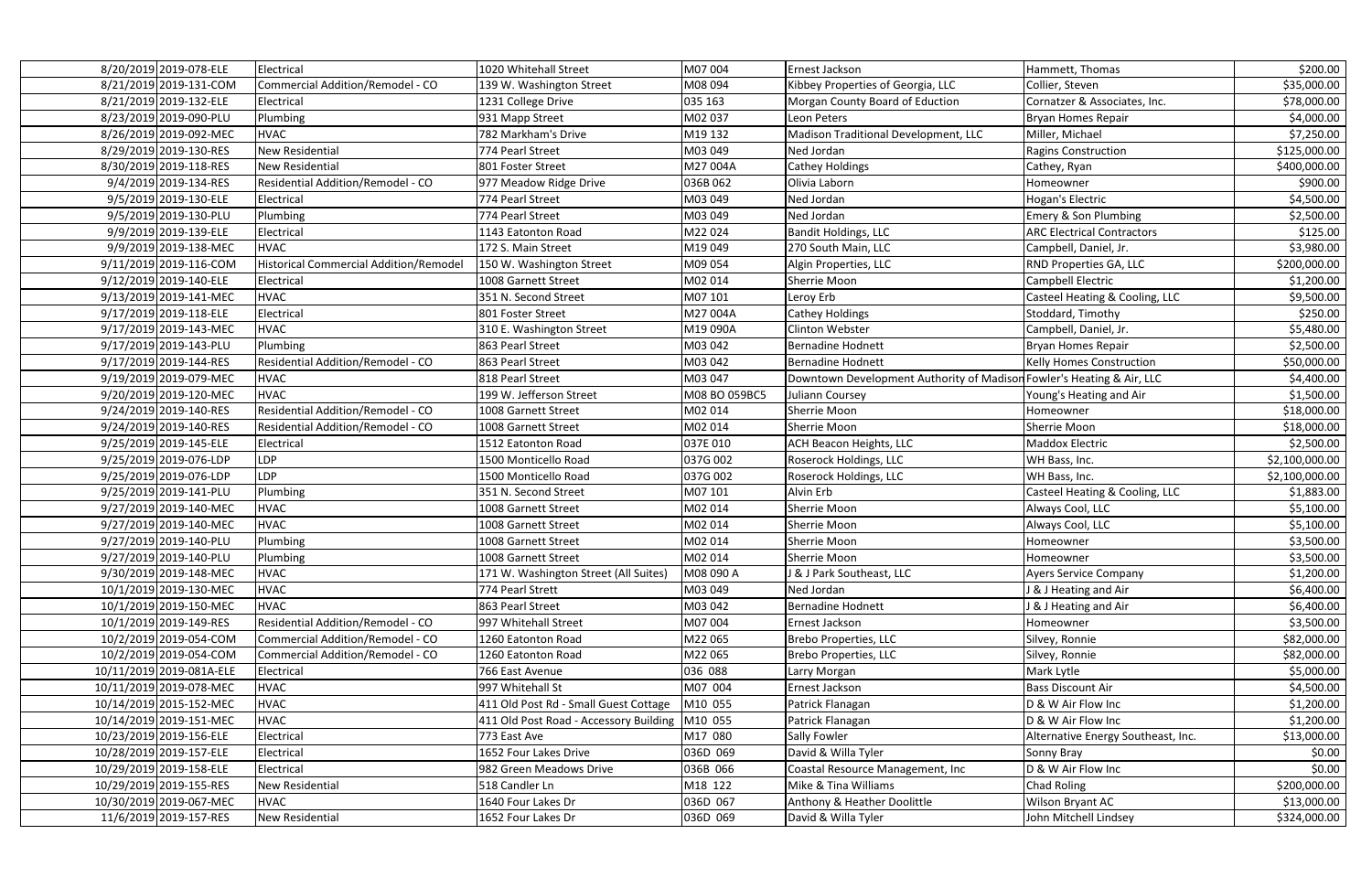| 8/20/2019 2019-078-ELE   | Electrical                              | 1020 Whitehall Street                  | M07 004       | Ernest Jackson                                                        | Hammett, Thomas                    | \$200.00       |
|--------------------------|-----------------------------------------|----------------------------------------|---------------|-----------------------------------------------------------------------|------------------------------------|----------------|
| 8/21/2019 2019-131-COM   | Commercial Addition/Remodel - CO        | 139 W. Washington Street               | M08 094       | Kibbey Properties of Georgia, LLC                                     | Collier, Steven                    | \$35,000.00    |
| 8/21/2019 2019-132-ELE   | Electrical                              | 1231 College Drive                     | 035 163       | Morgan County Board of Eduction                                       | Cornatzer & Associates, Inc.       | \$78,000.00    |
| 8/23/2019 2019-090-PLU   | Plumbing                                | 931 Mapp Street                        | M02 037       | Leon Peters                                                           | <b>Bryan Homes Repair</b>          | \$4,000.00     |
| 8/26/2019 2019-092-MEC   | <b>HVAC</b>                             | 782 Markham's Drive                    | M19 132       | Madison Traditional Development, LLC                                  | Miller, Michael                    | \$7,250.00     |
| 8/29/2019 2019-130-RES   | New Residential                         | 774 Pearl Street                       | M03 049       | Ned Jordan                                                            | <b>Ragins Construction</b>         | \$125,000.00   |
| 8/30/2019 2019-118-RES   | New Residential                         | 801 Foster Street                      | M27 004A      | <b>Cathey Holdings</b>                                                | Cathey, Ryan                       | \$400,000.00   |
| 9/4/2019 2019-134-RES    | Residential Addition/Remodel - CO       | 977 Meadow Ridge Drive                 | 036B 062      | Olivia Laborn                                                         | Homeowner                          | \$900.00       |
| 9/5/2019 2019-130-ELE    | Electrical                              | 774 Pearl Street                       | M03 049       | Ned Jordan                                                            | Hogan's Electric                   | \$4,500.00     |
| 9/5/2019 2019-130-PLU    | Plumbing                                | 774 Pearl Street                       | M03 049       | Ned Jordan                                                            | <b>Emery &amp; Son Plumbing</b>    | \$2,500.00     |
| 9/9/2019 2019-139-ELE    | Electrical                              | 1143 Eatonton Road                     | M22024        | Bandit Holdings, LLC                                                  | <b>ARC Electrical Contractors</b>  | \$125.00       |
| 9/9/2019 2019-138-MEC    | <b>HVAC</b>                             | 172 S. Main Street                     | M19049        | 270 South Main, LLC                                                   | Campbell, Daniel, Jr.              | \$3,980.00     |
| 9/11/2019 2019-116-COM   | Historical Commercial Addition/Remodel  | 150 W. Washington Street               | M09 054       | Algin Properties, LLC                                                 | RND Properties GA, LLC             | \$200,000.00   |
| 9/12/2019 2019-140-ELE   | Electrical                              | 1008 Garnett Street                    | M02 014       | <b>Sherrie Moon</b>                                                   | Campbell Electric                  | \$1,200.00     |
| 9/13/2019 2019-141-MEC   | <b>HVAC</b>                             | 351 N. Second Street                   | M07 101       | Leroy Erb                                                             | Casteel Heating & Cooling, LLC     | \$9,500.00     |
| 9/17/2019 2019-118-ELE   | Electrical                              | 801 Foster Street                      | M27 004A      | <b>Cathey Holdings</b>                                                | Stoddard, Timothy                  | \$250.00       |
| 9/17/2019 2019-143-MEC   | <b>HVAC</b>                             | 310 E. Washington Street               | M19 090A      | <b>Clinton Webster</b>                                                | Campbell, Daniel, Jr.              | \$5,480.00     |
| 9/17/2019 2019-143-PLU   | Plumbing                                | 863 Pearl Street                       | M03 042       | <b>Bernadine Hodnett</b>                                              | <b>Bryan Homes Repair</b>          | \$2,500.00     |
| 9/17/2019 2019-144-RES   | Residential Addition/Remodel - CO       | 863 Pearl Street                       | M03 042       | <b>Bernadine Hodnett</b>                                              | Kelly Homes Construction           | \$50,000.00    |
| 9/19/2019 2019-079-MEC   | <b>HVAC</b>                             | 818 Pearl Street                       | M03 047       | Downtown Development Authority of Madison Fowler's Heating & Air, LLC |                                    | \$4,400.00     |
| 9/20/2019 2019-120-MEC   | <b>HVAC</b>                             | 199 W. Jefferson Street                | M08 BO 059BC5 | Juliann Coursey                                                       | Young's Heating and Air            | \$1,500.00     |
| 9/24/2019 2019-140-RES   | Residential Addition/Remodel - CO       | 1008 Garnett Street                    | M02 014       | Sherrie Moon                                                          | Homeowner                          | \$18,000.00    |
| 9/24/2019 2019-140-RES   | Residential Addition/Remodel - CO       | 1008 Garnett Street                    | M02 014       | Sherrie Moon                                                          | Sherrie Moon                       | \$18,000.00    |
| 9/25/2019 2019-145-ELE   | Electrical                              | 1512 Eatonton Road                     | 037E 010      | <b>ACH Beacon Heights, LLC</b>                                        | <b>Maddox Electric</b>             | \$2,500.00     |
| 9/25/2019 2019-076-LDP   | <b>DP</b>                               | 1500 Monticello Road                   | 037G 002      | Roserock Holdings, LLC                                                | WH Bass, Inc.                      | \$2,100,000.00 |
| 9/25/2019 2019-076-LDP   | <b>LDP</b>                              | 1500 Monticello Road                   | 037G 002      | <b>Roserock Holdings, LLC</b>                                         | WH Bass, Inc.                      | \$2,100,000.00 |
| 9/25/2019 2019-141-PLU   | Plumbing                                | 351 N. Second Street                   | M07 101       | Alvin Erb                                                             | Casteel Heating & Cooling, LLC     | \$1,883.00     |
| 9/27/2019 2019-140-MEC   | <b>HVAC</b>                             | 1008 Garnett Street                    | M02 014       | Sherrie Moon                                                          | Always Cool, LLC                   | \$5,100.00     |
| 9/27/2019 2019-140-MEC   | <b>HVAC</b>                             | 1008 Garnett Street                    | M02 014       | Sherrie Moon                                                          | Always Cool, LLC                   | \$5,100.00     |
| 9/27/2019 2019-140-PLU   | Plumbing                                | 1008 Garnett Street                    | M02 014       | Sherrie Moon                                                          | Homeowner                          | \$3,500.00     |
| 9/27/2019 2019-140-PLU   | Plumbing                                | 1008 Garnett Street                    | M02 014       | Sherrie Moon                                                          | Homeowner                          | \$3,500.00     |
| 9/30/2019 2019-148-MEC   | <b>HVAC</b>                             | 171 W. Washington Street (All Suites)  | M08 090 A     | <b>8 J Park Southeast, LLC</b>                                        | <b>Ayers Service Company</b>       | \$1,200.00     |
| 10/1/2019 2019-130-MEC   | <b>HVAC</b>                             | 774 Pearl Strett                       | M03 049       | Ned Jordan                                                            | J & J Heating and Air              | \$6,400.00     |
| 10/1/2019 2019-150-MEC   | <b>HVAC</b>                             | 863 Pearl Street                       | M03 042       | <b>Bernadine Hodnett</b>                                              | J & J Heating and Air              | \$6,400.00     |
| 10/1/2019 2019-149-RES   | Residential Addition/Remodel - CO       | 997 Whitehall Street                   | M07 004       | Ernest Jackson                                                        | Homeowner                          | \$3,500.00     |
| 10/2/2019 2019-054-COM   | Commercial Addition/Remodel - CO        | 1260 Eatonton Road                     | M22 065       | Brebo Properties, LLC                                                 | Silvey, Ronnie                     | \$82,000.00    |
| 10/2/2019 2019-054-COM   | <b>Commercial Addition/Remodel - CO</b> | 1260 Eatonton Road                     | M22 065       | <b>Brebo Properties, LLC</b>                                          | Silvey, Ronnie                     | \$82,000.00    |
| 10/11/2019 2019-081A-ELE | Electrical                              | 766 East Avenue                        | 036 088       | Larry Morgan                                                          | Mark Lytle                         | \$5,000.00     |
| 10/11/2019 2019-078-MEC  | <b>HVAC</b>                             | 997 Whitehall St                       | M07 004       | Ernest Jackson                                                        | <b>Bass Discount Air</b>           | \$4,500.00     |
| 10/14/2019 2015-152-MEC  | <b>HVAC</b>                             | 411 Old Post Rd - Small Guest Cottage  | M10 055       | Patrick Flanagan                                                      | D & W Air Flow Inc                 | \$1,200.00     |
| 10/14/2019 2019-151-MEC  | <b>HVAC</b>                             | 411 Old Post Road - Accessory Building | M10 055       | Patrick Flanagan                                                      | D & W Air Flow Inc                 | \$1,200.00     |
| 10/23/2019 2019-156-ELE  | Electrical                              | 773 East Ave                           | M17 080       | Sally Fowler                                                          | Alternative Energy Southeast, Inc. | \$13,000.00    |
| 10/28/2019 2019-157-ELE  | Electrical                              | 1652 Four Lakes Drive                  | 036D 069      | David & Willa Tyler                                                   | Sonny Bray                         | \$0.00         |
| 10/29/2019 2019-158-ELE  | Electrical                              | 982 Green Meadows Drive                | 036B 066      | Coastal Resource Management, Inc                                      | D & W Air Flow Inc                 | \$0.00         |
| 10/29/2019 2019-155-RES  | <b>New Residential</b>                  | 518 Candler Ln                         | M18 122       | Mike & Tina Williams                                                  | <b>Chad Roling</b>                 | \$200,000.00   |
| 10/30/2019 2019-067-MEC  | <b>HVAC</b>                             | 1640 Four Lakes Dr                     | 036D 067      | Anthony & Heather Doolittle                                           | <b>Wilson Bryant AC</b>            | \$13,000.00    |
| 11/6/2019 2019-157-RES   | New Residential                         | 1652 Four Lakes Dr                     | 036D 069      | David & Willa Tyler                                                   | John Mitchell Lindsey              | \$324,000.00   |